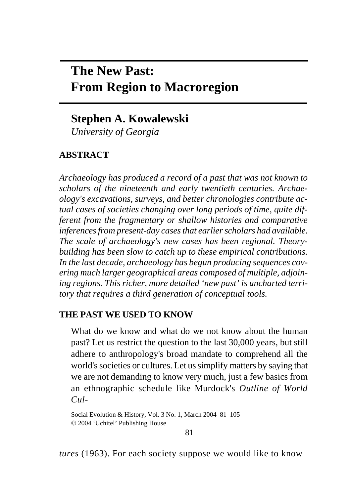# **The New Past: From Region to Macroregion**

# **Stephen A. Kowalewski**

*University of Georgia* 

## **ABSTRACT**

*Archaeology has produced a record of a past that was not known to scholars of the nineteenth and early twentieth centuries. Archaeology's excavations, surveys, and better chronologies contribute actual cases of societies changing over long periods of time, quite different from the fragmentary or shallow histories and comparative inferences from present-day cases that earlier scholars had available. The scale of archaeology's new cases has been regional. Theorybuilding has been slow to catch up to these empirical contributions. In the last decade, archaeology has begun producing sequences covering much larger geographical areas composed of multiple, adjoining regions. This richer, more detailed 'new past' is uncharted territory that requires a third generation of conceptual tools.* 

#### **THE PAST WE USED TO KNOW**

What do we know and what do we not know about the human past? Let us restrict the question to the last 30,000 years, but still adhere to anthropology's broad mandate to comprehend all the world's societies or cultures. Let us simplify matters by saying that we are not demanding to know very much, just a few basics from an ethnographic schedule like Murdock's *Outline of World Cul-*

Social Evolution & History, Vol. 3 No. 1, March 2004 81–105 © 2004 'Uchitel' Publishing House

*tures* (1963). For each society suppose we would like to know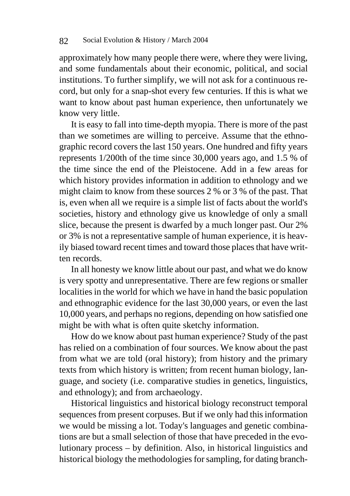approximately how many people there were, where they were living, and some fundamentals about their economic, political, and social institutions. To further simplify, we will not ask for a continuous record, but only for a snap-shot every few centuries. If this is what we want to know about past human experience, then unfortunately we know very little.

It is easy to fall into time-depth myopia. There is more of the past than we sometimes are willing to perceive. Assume that the ethnographic record covers the last 150 years. One hundred and fifty years represents 1/200th of the time since 30,000 years ago, and 1.5 % of the time since the end of the Pleistocene. Add in a few areas for which history provides information in addition to ethnology and we might claim to know from these sources 2 % or 3 % of the past. That is, even when all we require is a simple list of facts about the world's societies, history and ethnology give us knowledge of only a small slice, because the present is dwarfed by a much longer past. Our 2% or 3% is not a representative sample of human experience, it is heavily biased toward recent times and toward those places that have written records.

In all honesty we know little about our past, and what we do know is very spotty and unrepresentative. There are few regions or smaller localities in the world for which we have in hand the basic population and ethnographic evidence for the last 30,000 years, or even the last 10,000 years, and perhaps no regions, depending on how satisfied one might be with what is often quite sketchy information.

How do we know about past human experience? Study of the past has relied on a combination of four sources. We know about the past from what we are told (oral history); from history and the primary texts from which history is written; from recent human biology, language, and society (i.e. comparative studies in genetics, linguistics, and ethnology); and from archaeology.

Historical linguistics and historical biology reconstruct temporal sequences from present corpuses. But if we only had this information we would be missing a lot. Today's languages and genetic combinations are but a small selection of those that have preceded in the evolutionary process – by definition. Also, in historical linguistics and historical biology the methodologies for sampling, for dating branch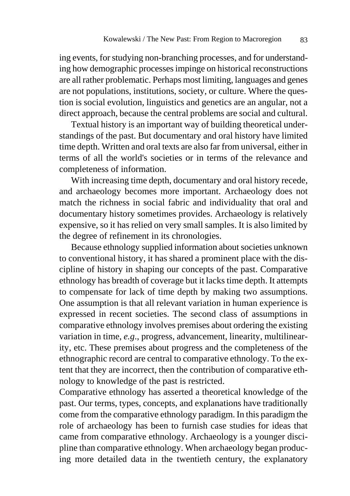ing events, for studying non-branching processes, and for understanding how demographic processes impinge on historical reconstructions are all rather problematic. Perhaps most limiting, languages and genes are not populations, institutions, society, or culture. Where the question is social evolution, linguistics and genetics are an angular, not a direct approach, because the central problems are social and cultural.

Textual history is an important way of building theoretical understandings of the past. But documentary and oral history have limited time depth. Written and oral texts are also far from universal, either in terms of all the world's societies or in terms of the relevance and completeness of information.

With increasing time depth, documentary and oral history recede, and archaeology becomes more important. Archaeology does not match the richness in social fabric and individuality that oral and documentary history sometimes provides. Archaeology is relatively expensive, so it has relied on very small samples. It is also limited by the degree of refinement in its chronologies.

Because ethnology supplied information about societies unknown to conventional history, it has shared a prominent place with the discipline of history in shaping our concepts of the past. Comparative ethnology has breadth of coverage but it lacks time depth. It attempts to compensate for lack of time depth by making two assumptions. One assumption is that all relevant variation in human experience is expressed in recent societies. The second class of assumptions in comparative ethnology involves premises about ordering the existing variation in time, *e.g*., progress, advancement, linearity, multilinearity, etc. These premises about progress and the completeness of the ethnographic record are central to comparative ethnology. To the extent that they are incorrect, then the contribution of comparative ethnology to knowledge of the past is restricted.

Comparative ethnology has asserted a theoretical knowledge of the past. Our terms, types, concepts, and explanations have traditionally come from the comparative ethnology paradigm. In this paradigm the role of archaeology has been to furnish case studies for ideas that came from comparative ethnology. Archaeology is a younger discipline than comparative ethnology. When archaeology began producing more detailed data in the twentieth century, the explanatory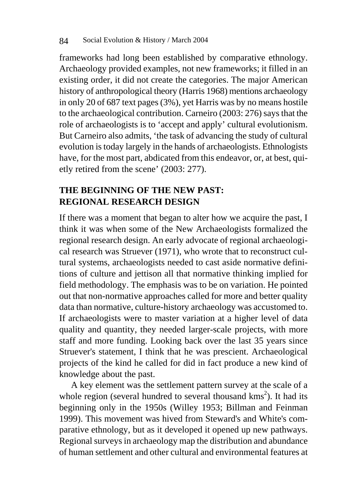frameworks had long been established by comparative ethnology. Archaeology provided examples, not new frameworks; it filled in an existing order, it did not create the categories. The major American history of anthropological theory (Harris 1968) mentions archaeology in only 20 of 687 text pages (3%), yet Harris was by no means hostile to the archaeological contribution. Carneiro (2003: 276) says that the role of archaeologists is to 'accept and apply' cultural evolutionism. But Carneiro also admits, 'the task of advancing the study of cultural evolution is today largely in the hands of archaeologists. Ethnologists have, for the most part, abdicated from this endeavor, or, at best, quietly retired from the scene' (2003: 277).

# **THE BEGINNING OF THE NEW PAST: REGIONAL RESEARCH DESIGN**

If there was a moment that began to alter how we acquire the past, I think it was when some of the New Archaeologists formalized the regional research design. An early advocate of regional archaeological research was Struever (1971), who wrote that to reconstruct cultural systems, archaeologists needed to cast aside normative definitions of culture and jettison all that normative thinking implied for field methodology. The emphasis was to be on variation. He pointed out that non-normative approaches called for more and better quality data than normative, culture-history archaeology was accustomed to. If archaeologists were to master variation at a higher level of data quality and quantity, they needed larger-scale projects, with more staff and more funding. Looking back over the last 35 years since Struever's statement, I think that he was prescient. Archaeological projects of the kind he called for did in fact produce a new kind of knowledge about the past.

A key element was the settlement pattern survey at the scale of a whole region (several hundred to several thousand  $km s<sup>2</sup>$ ). It had its beginning only in the 1950s (Willey 1953; Billman and Feinman 1999). This movement was hived from Steward's and White's comparative ethnology, but as it developed it opened up new pathways. Regional surveys in archaeology map the distribution and abundance of human settlement and other cultural and environmental features at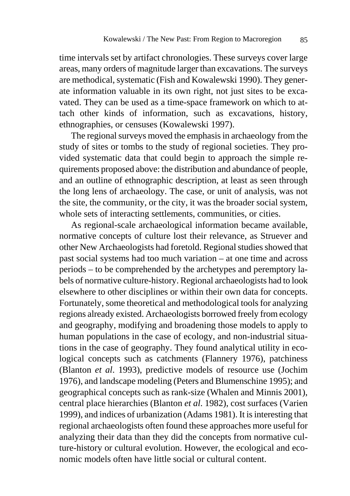time intervals set by artifact chronologies. These surveys cover large areas, many orders of magnitude larger than excavations. The surveys are methodical, systematic (Fish and Kowalewski 1990). They generate information valuable in its own right, not just sites to be excavated. They can be used as a time-space framework on which to attach other kinds of information, such as excavations, history, ethnographies, or censuses (Kowalewski 1997).

The regional surveys moved the emphasis in archaeology from the study of sites or tombs to the study of regional societies. They provided systematic data that could begin to approach the simple requirements proposed above: the distribution and abundance of people, and an outline of ethnographic description, at least as seen through the long lens of archaeology. The case, or unit of analysis, was not the site, the community, or the city, it was the broader social system, whole sets of interacting settlements, communities, or cities.

As regional-scale archaeological information became available, normative concepts of culture lost their relevance, as Struever and other New Archaeologists had foretold. Regional studies showed that past social systems had too much variation – at one time and across periods – to be comprehended by the archetypes and peremptory labels of normative culture-history. Regional archaeologists had to look elsewhere to other disciplines or within their own data for concepts. Fortunately, some theoretical and methodological tools for analyzing regions already existed. Archaeologists borrowed freely from ecology and geography, modifying and broadening those models to apply to human populations in the case of ecology, and non-industrial situations in the case of geography. They found analytical utility in ecological concepts such as catchments (Flannery 1976), patchiness (Blanton *et al*. 1993), predictive models of resource use (Jochim 1976), and landscape modeling (Peters and Blumenschine 1995); and geographical concepts such as rank-size (Whalen and Minnis 2001), central place hierarchies (Blanton *et al*. 1982), cost surfaces (Varien 1999), and indices of urbanization (Adams 1981). It is interesting that regional archaeologists often found these approaches more useful for analyzing their data than they did the concepts from normative culture-history or cultural evolution. However, the ecological and economic models often have little social or cultural content.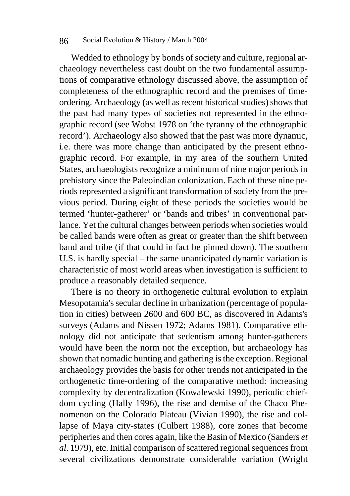#### 86 Social Evolution & History / March 2004

Wedded to ethnology by bonds of society and culture, regional archaeology nevertheless cast doubt on the two fundamental assumptions of comparative ethnology discussed above, the assumption of completeness of the ethnographic record and the premises of timeordering. Archaeology (as well as recent historical studies) shows that the past had many types of societies not represented in the ethnographic record (see Wobst 1978 on 'the tyranny of the ethnographic record'). Archaeology also showed that the past was more dynamic, i.e. there was more change than anticipated by the present ethnographic record. For example, in my area of the southern United States, archaeologists recognize a minimum of nine major periods in prehistory since the Paleoindian colonization. Each of these nine periods represented a significant transformation of society from the previous period. During eight of these periods the societies would be termed 'hunter-gatherer' or 'bands and tribes' in conventional parlance. Yet the cultural changes between periods when societies would be called bands were often as great or greater than the shift between band and tribe (if that could in fact be pinned down). The southern U.S. is hardly special – the same unanticipated dynamic variation is characteristic of most world areas when investigation is sufficient to produce a reasonably detailed sequence.

There is no theory in orthogenetic cultural evolution to explain Mesopotamia's secular decline in urbanization (percentage of population in cities) between 2600 and 600 BC, as discovered in Adams's surveys (Adams and Nissen 1972; Adams 1981). Comparative ethnology did not anticipate that sedentism among hunter-gatherers would have been the norm not the exception, but archaeology has shown that nomadic hunting and gathering is the exception. Regional archaeology provides the basis for other trends not anticipated in the orthogenetic time-ordering of the comparative method: increasing complexity by decentralization (Kowalewski 1990), periodic chiefdom cycling (Hally 1996), the rise and demise of the Chaco Phenomenon on the Colorado Plateau (Vivian 1990), the rise and collapse of Maya city-states (Culbert 1988), core zones that become peripheries and then cores again, like the Basin of Mexico (Sanders *et al*. 1979), etc. Initial comparison of scattered regional sequences from several civilizations demonstrate considerable variation (Wright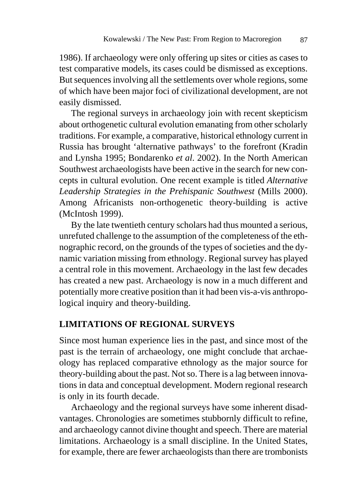1986). If archaeology were only offering up sites or cities as cases to test comparative models, its cases could be dismissed as exceptions. But sequences involving all the settlements over whole regions, some of which have been major foci of civilizational development, are not easily dismissed.

The regional surveys in archaeology join with recent skepticism about orthogenetic cultural evolution emanating from other scholarly traditions. For example, a comparative, historical ethnology current in Russia has brought 'alternative pathways' to the forefront (Kradin and Lynsha 1995; Bondarenko *et al*. 2002). In the North American Southwest archaeologists have been active in the search for new concepts in cultural evolution. One recent example is titled *Alternative Leadership Strategies in the Prehispanic Southwest* (Mills 2000). Among Africanists non-orthogenetic theory-building is active (McIntosh 1999).

By the late twentieth century scholars had thus mounted a serious, unrefuted challenge to the assumption of the completeness of the ethnographic record, on the grounds of the types of societies and the dynamic variation missing from ethnology. Regional survey has played a central role in this movement. Archaeology in the last few decades has created a new past. Archaeology is now in a much different and potentially more creative position than it had been vis-a-vis anthropological inquiry and theory-building.

#### **LIMITATIONS OF REGIONAL SURVEYS**

Since most human experience lies in the past, and since most of the past is the terrain of archaeology, one might conclude that archaeology has replaced comparative ethnology as the major source for theory-building about the past. Not so. There is a lag between innovations in data and conceptual development. Modern regional research is only in its fourth decade.

Archaeology and the regional surveys have some inherent disadvantages. Chronologies are sometimes stubbornly difficult to refine, and archaeology cannot divine thought and speech. There are material limitations. Archaeology is a small discipline. In the United States, for example, there are fewer archaeologists than there are trombonists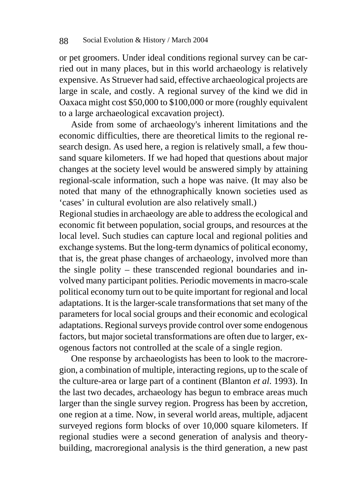or pet groomers. Under ideal conditions regional survey can be carried out in many places, but in this world archaeology is relatively expensive. As Struever had said, effective archaeological projects are large in scale, and costly. A regional survey of the kind we did in Oaxaca might cost \$50,000 to \$100,000 or more (roughly equivalent to a large archaeological excavation project).

Aside from some of archaeology's inherent limitations and the economic difficulties, there are theoretical limits to the regional research design. As used here, a region is relatively small, a few thousand square kilometers. If we had hoped that questions about major changes at the society level would be answered simply by attaining regional-scale information, such a hope was naive. (It may also be noted that many of the ethnographically known societies used as 'cases' in cultural evolution are also relatively small.)

Regional studies in archaeology are able to address the ecological and economic fit between population, social groups, and resources at the local level. Such studies can capture local and regional polities and exchange systems. But the long-term dynamics of political economy, that is, the great phase changes of archaeology, involved more than the single polity – these transcended regional boundaries and involved many participant polities. Periodic movements in macro-scale political economy turn out to be quite important for regional and local adaptations. It is the larger-scale transformations that set many of the parameters for local social groups and their economic and ecological adaptations. Regional surveys provide control over some endogenous factors, but major societal transformations are often due to larger, exogenous factors not controlled at the scale of a single region.

One response by archaeologists has been to look to the macroregion, a combination of multiple, interacting regions, up to the scale of the culture-area or large part of a continent (Blanton *et al*. 1993). In the last two decades, archaeology has begun to embrace areas much larger than the single survey region. Progress has been by accretion, one region at a time. Now, in several world areas, multiple, adjacent surveyed regions form blocks of over 10,000 square kilometers. If regional studies were a second generation of analysis and theorybuilding, macroregional analysis is the third generation, a new past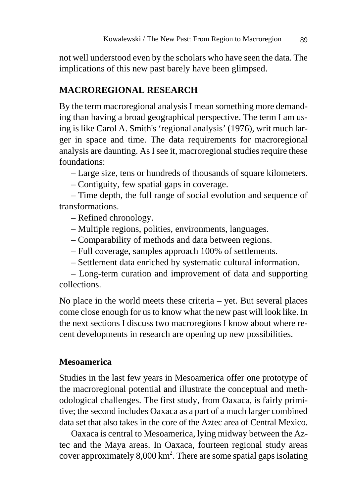not well understood even by the scholars who have seen the data. The implications of this new past barely have been glimpsed.

## **MACROREGIONAL RESEARCH**

By the term macroregional analysis I mean something more demanding than having a broad geographical perspective. The term I am using is like Carol A. Smith's 'regional analysis' (1976), writ much larger in space and time. The data requirements for macroregional analysis are daunting. As I see it, macroregional studies require these foundations:

– Large size, tens or hundreds of thousands of square kilometers.

– Contiguity, few spatial gaps in coverage.

– Time depth, the full range of social evolution and sequence of transformations.

– Refined chronology.

- Multiple regions, polities, environments, languages.
- Comparability of methods and data between regions.
- Full coverage, samples approach 100% of settlements.
- Settlement data enriched by systematic cultural information.

 – Long-term curation and improvement of data and supporting collections.

No place in the world meets these criteria – yet. But several places come close enough for us to know what the new past will look like. In the next sections I discuss two macroregions I know about where recent developments in research are opening up new possibilities.

## **Mesoamerica**

Studies in the last few years in Mesoamerica offer one prototype of the macroregional potential and illustrate the conceptual and methodological challenges. The first study, from Oaxaca, is fairly primitive; the second includes Oaxaca as a part of a much larger combined data set that also takes in the core of the Aztec area of Central Mexico.

Oaxaca is central to Mesoamerica, lying midway between the Aztec and the Maya areas. In Oaxaca, fourteen regional study areas cover approximately  $8,000 \text{ km}^2$ . There are some spatial gaps isolating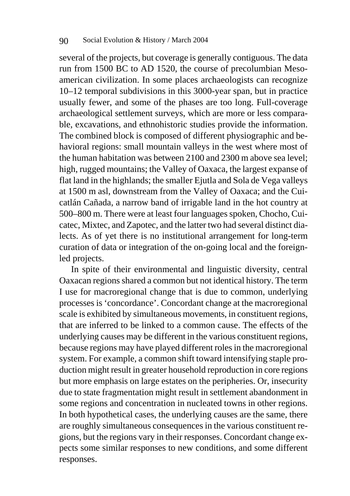several of the projects, but coverage is generally contiguous. The data run from 1500 BC to AD 1520, the course of precolumbian Mesoamerican civilization. In some places archaeologists can recognize 10–12 temporal subdivisions in this 3000-year span, but in practice usually fewer, and some of the phases are too long. Full-coverage archaeological settlement surveys, which are more or less comparable, excavations, and ethnohistoric studies provide the information. The combined block is composed of different physiographic and behavioral regions: small mountain valleys in the west where most of the human habitation was between 2100 and 2300 m above sea level; high, rugged mountains; the Valley of Oaxaca, the largest expanse of flat land in the highlands; the smaller Ejutla and Sola de Vega valleys at 1500 m asl, downstream from the Valley of Oaxaca; and the Cuicatlán Cañada, a narrow band of irrigable land in the hot country at 500–800 m. There were at least four languages spoken, Chocho, Cuicatec, Mixtec, and Zapotec, and the latter two had several distinct dialects. As of yet there is no institutional arrangement for long-term curation of data or integration of the on-going local and the foreignled projects.

In spite of their environmental and linguistic diversity, central Oaxacan regions shared a common but not identical history. The term I use for macroregional change that is due to common, underlying processes is 'concordance'. Concordant change at the macroregional scale is exhibited by simultaneous movements, in constituent regions, that are inferred to be linked to a common cause. The effects of the underlying causes may be different in the various constituent regions, because regions may have played different roles in the macroregional system. For example, a common shift toward intensifying staple production might result in greater household reproduction in core regions but more emphasis on large estates on the peripheries. Or, insecurity due to state fragmentation might result in settlement abandonment in some regions and concentration in nucleated towns in other regions. In both hypothetical cases, the underlying causes are the same, there are roughly simultaneous consequences in the various constituent regions, but the regions vary in their responses. Concordant change expects some similar responses to new conditions, and some different responses.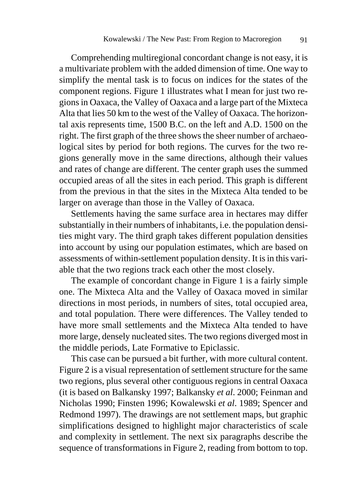Comprehending multiregional concordant change is not easy, it is a multivariate problem with the added dimension of time. One way to simplify the mental task is to focus on indices for the states of the component regions. Figure 1 illustrates what I mean for just two regions in Oaxaca, the Valley of Oaxaca and a large part of the Mixteca Alta that lies 50 km to the west of the Valley of Oaxaca. The horizontal axis represents time, 1500 B.C. on the left and A.D. 1500 on the right. The first graph of the three shows the sheer number of archaeological sites by period for both regions. The curves for the two regions generally move in the same directions, although their values and rates of change are different. The center graph uses the summed occupied areas of all the sites in each period. This graph is different from the previous in that the sites in the Mixteca Alta tended to be larger on average than those in the Valley of Oaxaca.

Settlements having the same surface area in hectares may differ substantially in their numbers of inhabitants, i.e. the population densities might vary. The third graph takes different population densities into account by using our population estimates, which are based on assessments of within-settlement population density. It is in this variable that the two regions track each other the most closely.

The example of concordant change in Figure 1 is a fairly simple one. The Mixteca Alta and the Valley of Oaxaca moved in similar directions in most periods, in numbers of sites, total occupied area, and total population. There were differences. The Valley tended to have more small settlements and the Mixteca Alta tended to have more large, densely nucleated sites. The two regions diverged most in the middle periods, Late Formative to Epiclassic.

This case can be pursued a bit further, with more cultural content. Figure 2 is a visual representation of settlement structure for the same two regions, plus several other contiguous regions in central Oaxaca (it is based on Balkansky 1997; Balkansky *et al*. 2000; Feinman and Nicholas 1990; Finsten 1996; Kowalewski *et al*. 1989; Spencer and Redmond 1997). The drawings are not settlement maps, but graphic simplifications designed to highlight major characteristics of scale and complexity in settlement. The next six paragraphs describe the sequence of transformations in Figure 2, reading from bottom to top.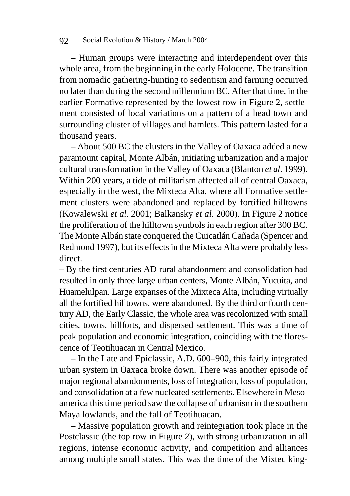– Human groups were interacting and interdependent over this whole area, from the beginning in the early Holocene. The transition from nomadic gathering-hunting to sedentism and farming occurred no later than during the second millennium BC. After that time, in the earlier Formative represented by the lowest row in Figure 2, settlement consisted of local variations on a pattern of a head town and surrounding cluster of villages and hamlets. This pattern lasted for a thousand years.

– About 500 BC the clusters in the Valley of Oaxaca added a new paramount capital, Monte Albán, initiating urbanization and a major cultural transformation in the Valley of Oaxaca (Blanton *et al*. 1999). Within 200 years, a tide of militarism affected all of central Oaxaca, especially in the west, the Mixteca Alta, where all Formative settlement clusters were abandoned and replaced by fortified hilltowns (Kowalewski *et al*. 2001; Balkansky *et al*. 2000). In Figure 2 notice the proliferation of the hilltown symbols in each region after 300 BC. The Monte Albán state conquered the Cuicatlán Cañada (Spencer and Redmond 1997), but its effects in the Mixteca Alta were probably less direct.

– By the first centuries AD rural abandonment and consolidation had resulted in only three large urban centers, Monte Albán, Yucuita, and Huamelulpan. Large expanses of the Mixteca Alta, including virtually all the fortified hilltowns, were abandoned. By the third or fourth century AD, the Early Classic, the whole area was recolonized with small cities, towns, hillforts, and dispersed settlement. This was a time of peak population and economic integration, coinciding with the florescence of Teotihuacan in Central Mexico.

– In the Late and Epiclassic, A.D. 600–900, this fairly integrated urban system in Oaxaca broke down. There was another episode of major regional abandonments, loss of integration, loss of population, and consolidation at a few nucleated settlements. Elsewhere in Mesoamerica this time period saw the collapse of urbanism in the southern Maya lowlands, and the fall of Teotihuacan.

– Massive population growth and reintegration took place in the Postclassic (the top row in Figure 2), with strong urbanization in all regions, intense economic activity, and competition and alliances among multiple small states. This was the time of the Mixtec king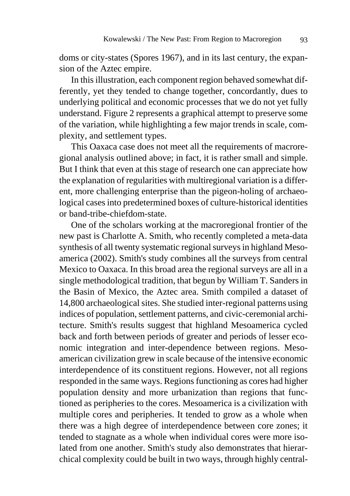doms or city-states (Spores 1967), and in its last century, the expansion of the Aztec empire.

In this illustration, each component region behaved somewhat differently, yet they tended to change together, concordantly, dues to underlying political and economic processes that we do not yet fully understand. Figure 2 represents a graphical attempt to preserve some of the variation, while highlighting a few major trends in scale, complexity, and settlement types.

This Oaxaca case does not meet all the requirements of macroregional analysis outlined above; in fact, it is rather small and simple. But I think that even at this stage of research one can appreciate how the explanation of regularities with multiregional variation is a different, more challenging enterprise than the pigeon-holing of archaeological cases into predetermined boxes of culture-historical identities or band-tribe-chiefdom-state.

One of the scholars working at the macroregional frontier of the new past is Charlotte A. Smith, who recently completed a meta-data synthesis of all twenty systematic regional surveys in highland Mesoamerica (2002). Smith's study combines all the surveys from central Mexico to Oaxaca. In this broad area the regional surveys are all in a single methodological tradition, that begun by William T. Sanders in the Basin of Mexico, the Aztec area. Smith compiled a dataset of 14,800 archaeological sites. She studied inter-regional patterns using indices of population, settlement patterns, and civic-ceremonial architecture. Smith's results suggest that highland Mesoamerica cycled back and forth between periods of greater and periods of lesser economic integration and inter-dependence between regions. Mesoamerican civilization grew in scale because of the intensive economic interdependence of its constituent regions. However, not all regions responded in the same ways. Regions functioning as cores had higher population density and more urbanization than regions that functioned as peripheries to the cores. Mesoamerica is a civilization with multiple cores and peripheries. It tended to grow as a whole when there was a high degree of interdependence between core zones; it tended to stagnate as a whole when individual cores were more isolated from one another. Smith's study also demonstrates that hierarchical complexity could be built in two ways, through highly central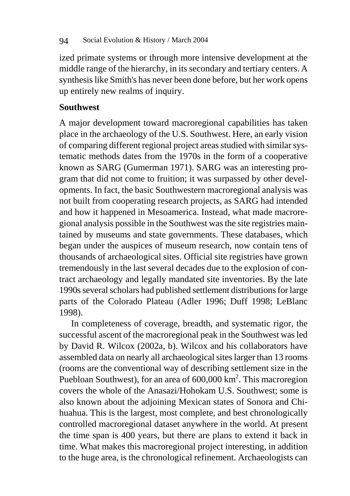ized primate systems or through more intensive development at the middle range of the hierarchy, in its secondary and tertiary centers. A synthesis like Smith's has never been done before, but her work opens up entirely new realms of inquiry.

## **Southwest**

A major development toward macroregional capabilities has taken place in the archaeology of the U.S. Southwest. Here, an early vision of comparing different regional project areas studied with similar systematic methods dates from the 1970s in the form of a cooperative known as SARG (Gumerman 1971). SARG was an interesting program that did not come to fruition; it was surpassed by other developments. In fact, the basic Southwestern macroregional analysis was not built from cooperating research projects, as SARG had intended and how it happened in Mesoamerica. Instead, what made macroregional analysis possible in the Southwest was the site registries maintained by museums and state governments. These databases, which began under the auspices of museum research, now contain tens of thousands of archaeological sites. Official site registries have grown tremendously in the last several decades due to the explosion of contract archaeology and legally mandated site inventories. By the late 1990s several scholars had published settlement distributions for large parts of the Colorado Plateau (Adler 1996; Duff 1998; LeBlanc 1998).

In completeness of coverage, breadth, and systematic rigor, the successful ascent of the macroregional peak in the Southwest was led by David R. Wilcox (2002a, b). Wilcox and his collaborators have assembled data on nearly all archaeological sites larger than 13 rooms (rooms are the conventional way of describing settlement size in the Puebloan Southwest), for an area of  $600,000 \text{ km}^2$ . This macroregion covers the whole of the Anasazi/Hohokam U.S. Southwest; some is also known about the adjoining Mexican states of Sonora and Chihuahua. This is the largest, most complete, and best chronologically controlled macroregional dataset anywhere in the world. At present the time span is 400 years, but there are plans to extend it back in time. What makes this macroregional project interesting, in addition to the huge area, is the chronological refinement. Archaeologists can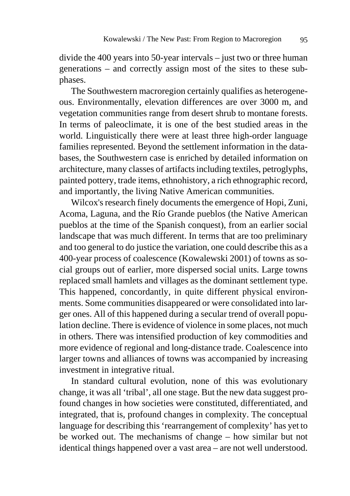divide the 400 years into 50-year intervals – just two or three human generations – and correctly assign most of the sites to these subphases.

The Southwestern macroregion certainly qualifies as heterogeneous. Environmentally, elevation differences are over 3000 m, and vegetation communities range from desert shrub to montane forests. In terms of paleoclimate, it is one of the best studied areas in the world. Linguistically there were at least three high-order language families represented. Beyond the settlement information in the databases, the Southwestern case is enriched by detailed information on architecture, many classes of artifacts including textiles, petroglyphs, painted pottery, trade items, ethnohistory, a rich ethnographic record, and importantly, the living Native American communities.

Wilcox's research finely documents the emergence of Hopi, Zuni, Acoma, Laguna, and the Río Grande pueblos (the Native American pueblos at the time of the Spanish conquest), from an earlier social landscape that was much different. In terms that are too preliminary and too general to do justice the variation, one could describe this as a 400-year process of coalescence (Kowalewski 2001) of towns as social groups out of earlier, more dispersed social units. Large towns replaced small hamlets and villages as the dominant settlement type. This happened, concordantly, in quite different physical environments. Some communities disappeared or were consolidated into larger ones. All of this happened during a secular trend of overall population decline. There is evidence of violence in some places, not much in others. There was intensified production of key commodities and more evidence of regional and long-distance trade. Coalescence into larger towns and alliances of towns was accompanied by increasing investment in integrative ritual.

In standard cultural evolution, none of this was evolutionary change, it was all 'tribal', all one stage. But the new data suggest profound changes in how societies were constituted, differentiated, and integrated, that is, profound changes in complexity. The conceptual language for describing this 'rearrangement of complexity' has yet to be worked out. The mechanisms of change – how similar but not identical things happened over a vast area – are not well understood.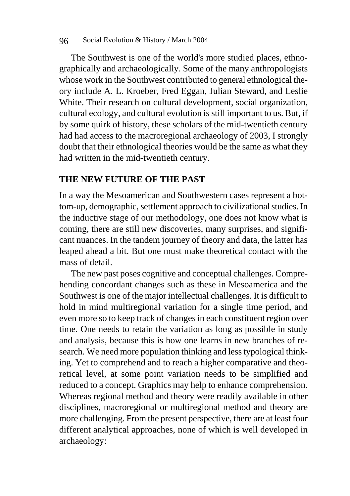#### 96 Social Evolution & History / March 2004

The Southwest is one of the world's more studied places, ethnographically and archaeologically. Some of the many anthropologists whose work in the Southwest contributed to general ethnological theory include A. L. Kroeber, Fred Eggan, Julian Steward, and Leslie White. Their research on cultural development, social organization, cultural ecology, and cultural evolution is still important to us. But, if by some quirk of history, these scholars of the mid-twentieth century had had access to the macroregional archaeology of 2003, I strongly doubt that their ethnological theories would be the same as what they had written in the mid-twentieth century.

## **THE NEW FUTURE OF THE PAST**

In a way the Mesoamerican and Southwestern cases represent a bottom-up, demographic, settlement approach to civilizational studies. In the inductive stage of our methodology, one does not know what is coming, there are still new discoveries, many surprises, and significant nuances. In the tandem journey of theory and data, the latter has leaped ahead a bit. But one must make theoretical contact with the mass of detail.

The new past poses cognitive and conceptual challenges. Comprehending concordant changes such as these in Mesoamerica and the Southwest is one of the major intellectual challenges. It is difficult to hold in mind multiregional variation for a single time period, and even more so to keep track of changes in each constituent region over time. One needs to retain the variation as long as possible in study and analysis, because this is how one learns in new branches of research. We need more population thinking and less typological thinking. Yet to comprehend and to reach a higher comparative and theoretical level, at some point variation needs to be simplified and reduced to a concept. Graphics may help to enhance comprehension. Whereas regional method and theory were readily available in other disciplines, macroregional or multiregional method and theory are more challenging. From the present perspective, there are at least four different analytical approaches, none of which is well developed in archaeology: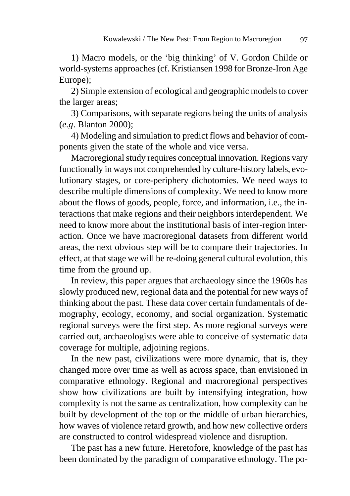1) Macro models, or the 'big thinking' of V. Gordon Childe or world-systems approaches (cf. Kristiansen 1998 for Bronze-Iron Age Europe);

2) Simple extension of ecological and geographic models to cover the larger areas;

3) Comparisons, with separate regions being the units of analysis (*e.g*. Blanton 2000);

4) Modeling and simulation to predict flows and behavior of components given the state of the whole and vice versa.

Macroregional study requires conceptual innovation. Regions vary functionally in ways not comprehended by culture-history labels, evolutionary stages, or core-periphery dichotomies. We need ways to describe multiple dimensions of complexity. We need to know more about the flows of goods, people, force, and information, i.e., the interactions that make regions and their neighbors interdependent. We need to know more about the institutional basis of inter-region interaction. Once we have macroregional datasets from different world areas, the next obvious step will be to compare their trajectories. In effect, at that stage we will be re-doing general cultural evolution, this time from the ground up.

In review, this paper argues that archaeology since the 1960s has slowly produced new, regional data and the potential for new ways of thinking about the past. These data cover certain fundamentals of demography, ecology, economy, and social organization. Systematic regional surveys were the first step. As more regional surveys were carried out, archaeologists were able to conceive of systematic data coverage for multiple, adjoining regions.

In the new past, civilizations were more dynamic, that is, they changed more over time as well as across space, than envisioned in comparative ethnology. Regional and macroregional perspectives show how civilizations are built by intensifying integration, how complexity is not the same as centralization, how complexity can be built by development of the top or the middle of urban hierarchies, how waves of violence retard growth, and how new collective orders are constructed to control widespread violence and disruption.

The past has a new future. Heretofore, knowledge of the past has been dominated by the paradigm of comparative ethnology. The po-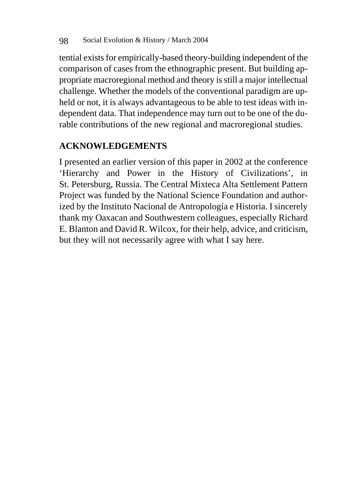tential exists for empirically-based theory-building independent of the comparison of cases from the ethnographic present. But building appropriate macroregional method and theory is still a major intellectual challenge. Whether the models of the conventional paradigm are upheld or not, it is always advantageous to be able to test ideas with independent data. That independence may turn out to be one of the durable contributions of the new regional and macroregional studies.

# **ACKNOWLEDGEMENTS**

I presented an earlier version of this paper in 2002 at the conference 'Hierarchy and Power in the History of Civilizations', in St. Petersburg, Russia. The Central Mixteca Alta Settlement Pattern Project was funded by the National Science Foundation and authorized by the Instituto Nacional de Antropología e Historia. I sincerely thank my Oaxacan and Southwestern colleagues, especially Richard E. Blanton and David R. Wilcox, for their help, advice, and criticism, but they will not necessarily agree with what I say here.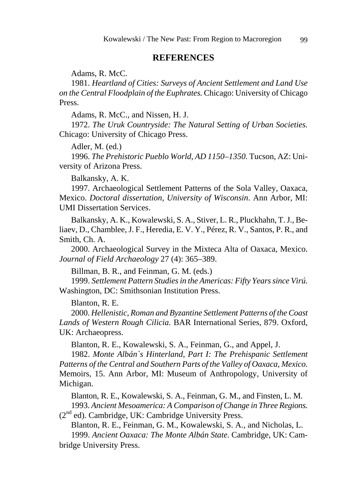#### **REFERENCES**

Adams, R. McC.

1981. *Heartland of Cities: Surveys of Ancient Settlement and Land Use on the Central Floodplain of the Euphrates.* Chicago: University of Chicago Press.

Adams, R. McC., and Nissen, H. J.

1972. *The Uruk Countryside: The Natural Setting of Urban Societies.* Chicago: University of Chicago Press.

Adler, M. (ed.)

1996. *The Prehistoric Pueblo World, AD 1150*–*1350.* Tucson, AZ: University of Arizona Press.

Balkansky, A. K.

1997. Archaeological Settlement Patterns of the Sola Valley, Oaxaca, Mexico. *Doctoral dissertation, University of Wisconsin*. Ann Arbor, MI: UMI Dissertation Services.

Balkansky, A. K., Kowalewski, S. A., Stiver, L. R., Pluckhahn, T. J., Beliaev, D., Chamblee, J. F., Heredia, E. V. Y., Pérez, R. V., Santos, P. R., and Smith, Ch. A.

2000. Archaeological Survey in the Mixteca Alta of Oaxaca, Mexico. *Journal of Field Archaeology* 27 (4): 365–389.

Billman, B. R., and Feinman, G. M. (eds.)

1999. *Settlement Pattern Studies in the Americas: Fifty Years since Virú.* Washington, DC: Smithsonian Institution Press.

Blanton, R. E.

2000. *Hellenistic, Roman and Byzantine Settlement Patterns of the Coast Lands of Western Rough Cilicia.* BAR International Series, 879. Oxford, UK: Archaeopress.

Blanton, R. E., Kowalewski, S. A., Feinman, G., and Appel, J.

1982. *Monte Albán`s Hinterland, Part I: The Prehispanic Settlement Patterns of the Central and Southern Parts of the Valley of Oaxaca, Mexico.* Memoirs, 15. Ann Arbor, MI: Museum of Anthropology, University of Michigan.

Blanton, R. E., Kowalewski, S. A., Feinman, G. M., and Finsten, L. M. 1993. *Ancient Mesoamerica: A Comparison of Change in Three Regions.* (2nd ed). Cambridge, UK: Cambridge University Press.

Blanton, R. E., Feinman, G. M., Kowalewski, S. A., and Nicholas, L. 1999. *Ancient Oaxaca: The Monte Albán State.* Cambridge, UK: Cambridge University Press.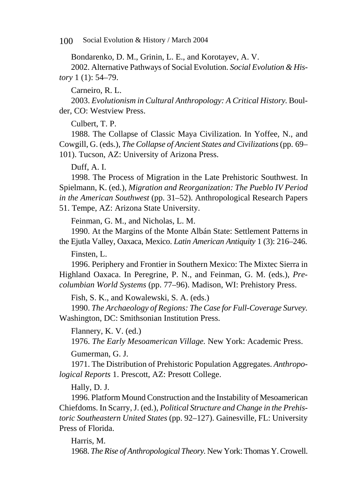100 Social Evolution & History / March 2004

Bondarenko, D. M., Grinin, L. E., and Korotayev, A. V.

2002. Alternative Pathways of Social Evolution. *Social Evolution & History* 1 (1): 54–79.

Carneiro, R. L.

2003. *Evolutionism in Cultural Anthropology: A Critical History.* Boulder, CO: Westview Press.

Culbert, T. P.

1988. The Collapse of Classic Maya Civilization. In Yoffee, N., and Cowgill, G. (eds.), *The Collapse of Ancient States and Civilizations* (pp. 69– 101). Tucson, AZ: University of Arizona Press.

Duff, A. I.

1998. The Process of Migration in the Late Prehistoric Southwest. In Spielmann, K. (ed.), *Migration and Reorganization: The Pueblo IV Period in the American Southwest* (pp. 31–52). Anthropological Research Papers 51. Tempe, AZ: Arizona State University.

Feinman, G. M., and Nicholas, L. M.

1990. At the Margins of the Monte Albán State: Settlement Patterns in the Ejutla Valley, Oaxaca, Mexico. *Latin American Antiquity* 1 (3): 216–246.

Finsten, L.

1996. Periphery and Frontier in Southern Mexico: The Mixtec Sierra in Highland Oaxaca. In Peregrine, P. N., and Feinman, G. M. (eds.), *Precolumbian World Systems* (pp. 77–96). Madison, WI: Prehistory Press.

Fish, S. K., and Kowalewski, S. A. (eds.)

1990. *The Archaeology of Regions: The Case for Full*-*Coverage Survey.* Washington, DC: Smithsonian Institution Press.

Flannery, K. V. (ed.)

1976. *The Early Mesoamerican Village.* New York: Academic Press.

Gumerman, G. J.

1971. The Distribution of Prehistoric Population Aggregates. *Anthropological Reports* 1. Prescott, AZ: Presott College.

Hally, D. J.

1996. Platform Mound Construction and the Instability of Mesoamerican Chiefdoms. In Scarry, J. (ed.), *Political Structure and Change in the Prehistoric Southeastern United States* (pp. 92–127). Gainesville, FL: University Press of Florida.

Harris, M.

1968. *The Rise of Anthropological Theory.* New York: Thomas Y. Crowell.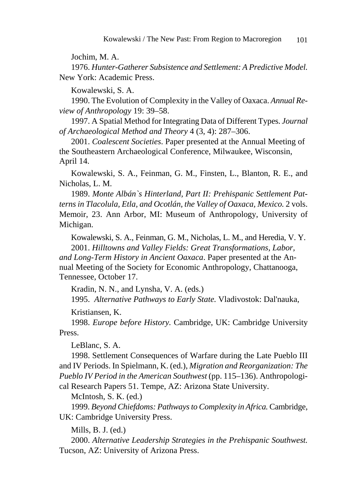Jochim, M. A.

1976. *Hunter-Gatherer Subsistence and Settlement: A Predictive Model.* New York: Academic Press.

Kowalewski, S. A.

1990. The Evolution of Complexity in the Valley of Oaxaca. *Annual Review of Anthropology* 19: 39–58.

1997. A Spatial Method for Integrating Data of Different Types. *Journal of Archaeological Method and Theory* 4 (3, 4): 287–306.

2001. *Coalescent Societies*. Paper presented at the Annual Meeting of the Southeastern Archaeological Conference, Milwaukee, Wisconsin, April 14.

Kowalewski, S. A., Feinman, G. M., Finsten, L., Blanton, R. E., and Nicholas, L. M.

1989. *Monte Albán`s Hinterland, Part II: Prehispanic Settlement Patterns in Tlacolula, Etla, and Ocotlán, the Valley of Oaxaca, Mexico.* 2 vols. Memoir, 23. Ann Arbor, MI: Museum of Anthropology, University of Michigan.

Kowalewski, S. A., Feinman, G. M., Nicholas, L. M., and Heredia, V. Y.

2001. *Hilltowns and Valley Fields: Great Transformations, Labor, and Long-Term History in Ancient Oaxaca*. Paper presented at the Annual Meeting of the Society for Economic Anthropology, Chattanooga, Tennessee, October 17.

Kradin, N. N., and Lynsha, V. A. (eds.)

1995. *Alternative Pathways to Early State.* Vladivostok: Dal'nauka,

Kristiansen, K.

1998. *Europe before History.* Cambridge, UK: Cambridge University Press.

LeBlanc, S. A.

1998. Settlement Consequences of Warfare during the Late Pueblo III and IV Periods. In Spielmann, K. (ed.), *Migration and Reorganization: The Pueblo IV Period in the American Southwest* (pp. 115–136). Anthropological Research Papers 51. Tempe, AZ: Arizona State University.

McIntosh, S. K. (ed.)

1999. *Beyond Chiefdoms: Pathways to Complexity in Africa.* Cambridge, UK: Cambridge University Press.

Mills, B. J. (ed.)

2000. *Alternative Leadership Strategies in the Prehispanic Southwest.* Tucson, AZ: University of Arizona Press.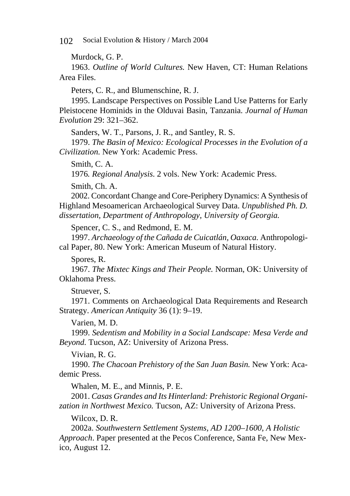102 Social Evolution & History / March 2004

Murdock, G. P.

1963. *Outline of World Cultures.* New Haven, CT: Human Relations Area Files.

Peters, C. R., and Blumenschine, R. J.

1995. Landscape Perspectives on Possible Land Use Patterns for Early Pleistocene Hominids in the Olduvai Basin, Tanzania. *Journal of Human Evolution* 29: 321–362.

Sanders, W. T., Parsons, J. R., and Santley, R. S.

1979. *The Basin of Mexico: Ecological Processes in the Evolution of a Civilization.* New York: Academic Press.

Smith, C. A.

1976*. Regional Analysis*. 2 vols. New York: Academic Press.

Smith, Ch. A.

2002. Concordant Change and Core-Periphery Dynamics: A Synthesis of Highland Mesoamerican Archaeological Survey Data. *Unpublished Ph. D. dissertation, Department of Anthropology, University of Georgia.* 

Spencer, C. S., and Redmond, E. M.

1997. *Archaeology of the Cañada de Cuicatlán, Oaxaca.* Anthropological Paper, 80. New York: American Museum of Natural History.

Spores, R.

1967. *The Mixtec Kings and Their People.* Norman, OK: University of Oklahoma Press.

Struever, S.

1971. Comments on Archaeological Data Requirements and Research Strategy. *American Antiquity* 36 (1): 9–19.

Varien, M. D.

1999. *Sedentism and Mobility in a Social Landscape: Mesa Verde and Beyond.* Tucson, AZ: University of Arizona Press.

Vivian, R. G.

1990. *The Chacoan Prehistory of the San Juan Basin.* New York: Academic Press.

Whalen, M. E., and Minnis, P. E.

2001. *Casas Grandes and Its Hinterland: Prehistoric Regional Organization in Northwest Mexico.* Tucson, AZ: University of Arizona Press.

Wilcox, D. R.

2002a. *Southwestern Settlement Systems, AD 1200–1600, A Holistic Approach*. Paper presented at the Pecos Conference, Santa Fe, New Mexico, August 12.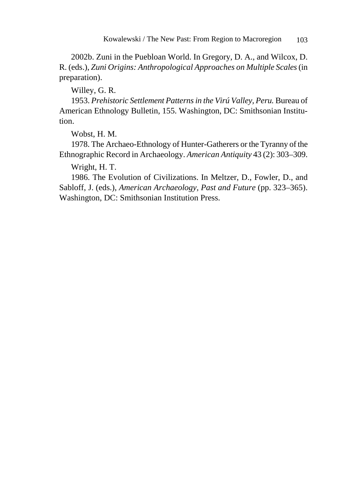2002b. Zuni in the Puebloan World. In Gregory, D. A., and Wilcox, D. R. (eds.), *Zuni Origins: Anthropological Approaches on Multiple Scales* (in preparation).

Willey, G. R.

1953. *Prehistoric Settlement Patterns in the Virú Valley, Peru.* Bureau of American Ethnology Bulletin, 155. Washington, DC: Smithsonian Institution.

Wobst, H. M.

1978. The Archaeo-Ethnology of Hunter-Gatherers or the Tyranny of the Ethnographic Record in Archaeology. *American Antiquity* 43 (2): 303–309.

Wright, H. T.

1986. The Evolution of Civilizations. In Meltzer, D., Fowler, D., and Sabloff, J. (eds.), *American Archaeology, Past and Future* (pp. 323–365). Washington, DC: Smithsonian Institution Press.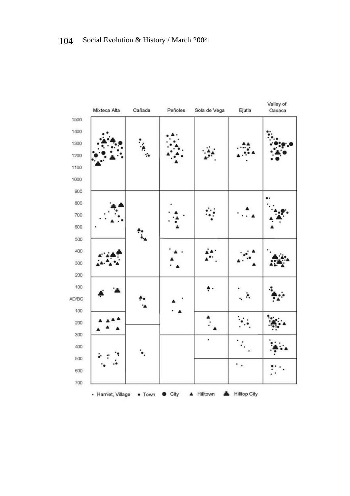